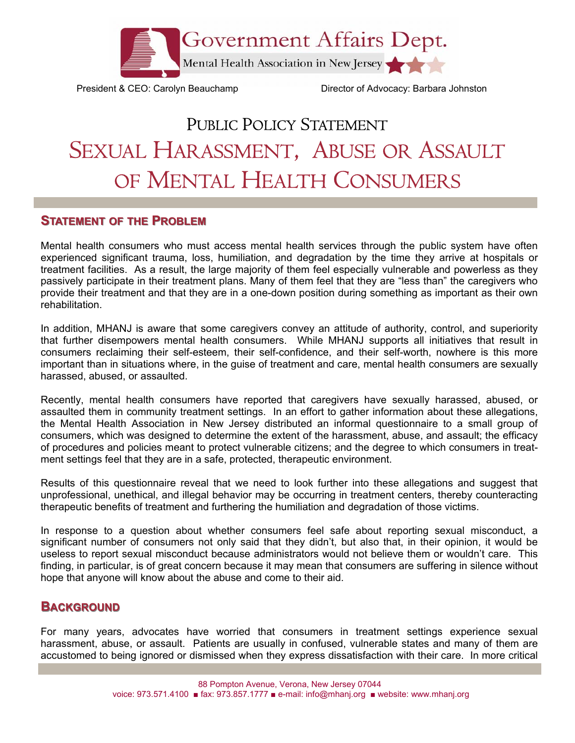

President & CEO: Carolyn Beauchamp Director of Advocacy: Barbara Johnston

## PUBLIC POLICY STATEMENT SEXUAL HARASSMENT, ABUSE OR ASSAULT OF MENTAL HEALTH CONSUMERS

## **STATEMENT OF THE PROBLEM**

Mental health consumers who must access mental health services through the public system have often experienced significant trauma, loss, humiliation, and degradation by the time they arrive at hospitals or treatment facilities. As a result, the large majority of them feel especially vulnerable and powerless as they passively participate in their treatment plans. Many of them feel that they are "less than" the caregivers who provide their treatment and that they are in a one-down position during something as important as their own rehabilitation.

In addition, MHANJ is aware that some caregivers convey an attitude of authority, control, and superiority that further disempowers mental health consumers. While MHANJ supports all initiatives that result in consumers reclaiming their self-esteem, their self-confidence, and their self-worth, nowhere is this more important than in situations where, in the guise of treatment and care, mental health consumers are sexually harassed, abused, or assaulted.

Recently, mental health consumers have reported that caregivers have sexually harassed, abused, or assaulted them in community treatment settings. In an effort to gather information about these allegations, the Mental Health Association in New Jersey distributed an informal questionnaire to a small group of consumers, which was designed to determine the extent of the harassment, abuse, and assault; the efficacy of procedures and policies meant to protect vulnerable citizens; and the degree to which consumers in treatment settings feel that they are in a safe, protected, therapeutic environment.

Results of this questionnaire reveal that we need to look further into these allegations and suggest that unprofessional, unethical, and illegal behavior may be occurring in treatment centers, thereby counteracting therapeutic benefits of treatment and furthering the humiliation and degradation of those victims.

In response to a question about whether consumers feel safe about reporting sexual misconduct, a significant number of consumers not only said that they didn't, but also that, in their opinion, it would be useless to report sexual misconduct because administrators would not believe them or wouldn't care. This finding, in particular, is of great concern because it may mean that consumers are suffering in silence without hope that anyone will know about the abuse and come to their aid.

## **BACKGROUND**

For many years, advocates have worried that consumers in treatment settings experience sexual harassment, abuse, or assault. Patients are usually in confused, vulnerable states and many of them are accustomed to being ignored or dismissed when they express dissatisfaction with their care. In more critical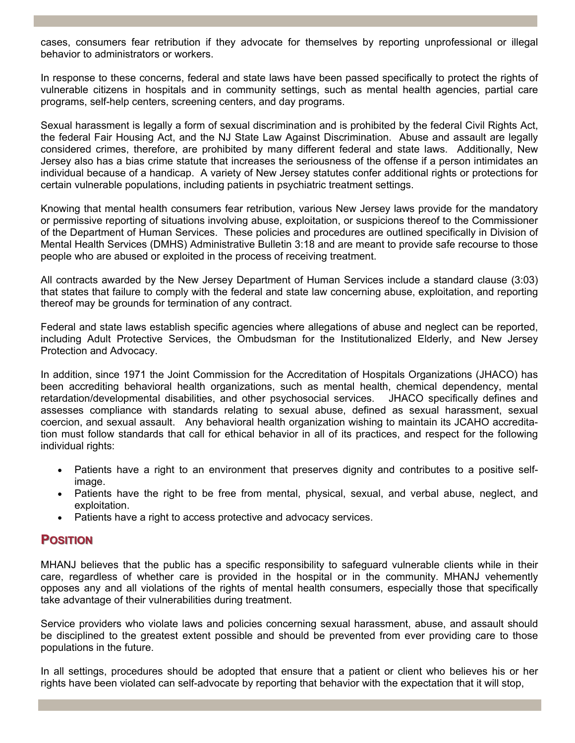cases, consumers fear retribution if they advocate for themselves by reporting unprofessional or illegal behavior to administrators or workers.

In response to these concerns, federal and state laws have been passed specifically to protect the rights of vulnerable citizens in hospitals and in community settings, such as mental health agencies, partial care programs, self-help centers, screening centers, and day programs.

Sexual harassment is legally a form of sexual discrimination and is prohibited by the federal Civil Rights Act, the federal Fair Housing Act, and the NJ State Law Against Discrimination. Abuse and assault are legally considered crimes, therefore, are prohibited by many different federal and state laws. Additionally, New Jersey also has a bias crime statute that increases the seriousness of the offense if a person intimidates an individual because of a handicap. A variety of New Jersey statutes confer additional rights or protections for certain vulnerable populations, including patients in psychiatric treatment settings.

Knowing that mental health consumers fear retribution, various New Jersey laws provide for the mandatory or permissive reporting of situations involving abuse, exploitation, or suspicions thereof to the Commissioner of the Department of Human Services. These policies and procedures are outlined specifically in Division of Mental Health Services (DMHS) Administrative Bulletin 3:18 and are meant to provide safe recourse to those people who are abused or exploited in the process of receiving treatment.

All contracts awarded by the New Jersey Department of Human Services include a standard clause (3:03) that states that failure to comply with the federal and state law concerning abuse, exploitation, and reporting thereof may be grounds for termination of any contract.

Federal and state laws establish specific agencies where allegations of abuse and neglect can be reported, including Adult Protective Services, the Ombudsman for the Institutionalized Elderly, and New Jersey Protection and Advocacy.

In addition, since 1971 the Joint Commission for the Accreditation of Hospitals Organizations (JHACO) has been accrediting behavioral health organizations, such as mental health, chemical dependency, mental retardation/developmental disabilities, and other psychosocial services. JHACO specifically defines and assesses compliance with standards relating to sexual abuse, defined as sexual harassment, sexual coercion, and sexual assault. Any behavioral health organization wishing to maintain its JCAHO accreditation must follow standards that call for ethical behavior in all of its practices, and respect for the following individual rights:

- Patients have a right to an environment that preserves dignity and contributes to a positive selfimage.
- Patients have the right to be free from mental, physical, sexual, and verbal abuse, neglect, and exploitation.
- Patients have a right to access protective and advocacy services.

## **POSITION OSITION**

MHANJ believes that the public has a specific responsibility to safeguard vulnerable clients while in their care, regardless of whether care is provided in the hospital or in the community. MHANJ vehemently opposes any and all violations of the rights of mental health consumers, especially those that specifically take advantage of their vulnerabilities during treatment.

Service providers who violate laws and policies concerning sexual harassment, abuse, and assault should be disciplined to the greatest extent possible and should be prevented from ever providing care to those populations in the future.

In all settings, procedures should be adopted that ensure that a patient or client who believes his or her rights have been violated can self-advocate by reporting that behavior with the expectation that it will stop,